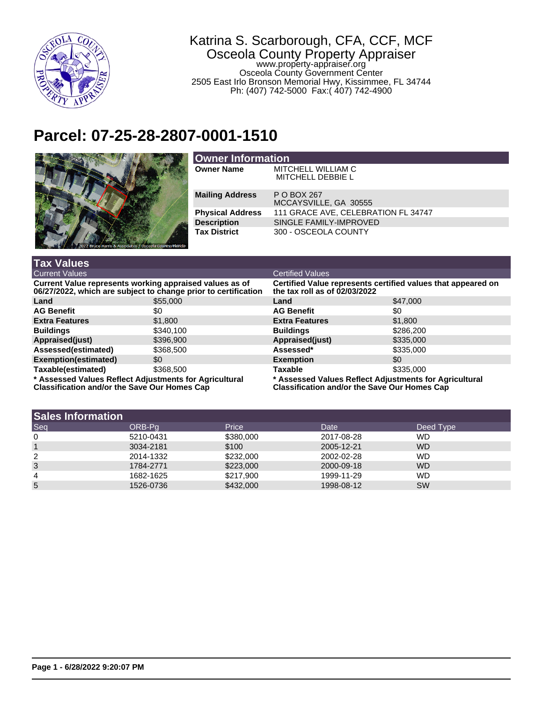

## Katrina S. Scarborough, CFA, CCF, MCF Osceola County Property Appraiser www.property-appraiser.org Osceola County Government Center 2505 East Irlo Bronson Memorial Hwy, Kissimmee, FL 34744

Ph: (407) 742-5000 Fax:( 407) 742-4900

## **Parcel: 07-25-28-2807-0001-1510**



| Owner Information       |                                                |  |  |
|-------------------------|------------------------------------------------|--|--|
| <b>Owner Name</b>       | MITCHELL WILLIAM C<br><b>MITCHELL DEBBIE L</b> |  |  |
| <b>Mailing Address</b>  | P O BOX 267<br>MCCAYSVILLE, GA 30555           |  |  |
| <b>Physical Address</b> | 111 GRACE AVE, CELEBRATION FL 34747            |  |  |
| <b>Description</b>      | SINGLE FAMILY-IMPROVED                         |  |  |
| <b>Tax District</b>     | 300 - OSCEOLA COUNTY                           |  |  |

| <b>Tax Values</b>                                                                                                         |           |                                                                                                               |           |  |
|---------------------------------------------------------------------------------------------------------------------------|-----------|---------------------------------------------------------------------------------------------------------------|-----------|--|
| Current Values                                                                                                            |           | <b>Certified Values</b>                                                                                       |           |  |
| Current Value represents working appraised values as of<br>06/27/2022, which are subject to change prior to certification |           | Certified Value represents certified values that appeared on<br>the tax roll as of 02/03/2022                 |           |  |
| Land                                                                                                                      | \$55,000  | Land                                                                                                          | \$47,000  |  |
| <b>AG Benefit</b>                                                                                                         | \$0       | <b>AG Benefit</b>                                                                                             | \$0       |  |
| <b>Extra Features</b>                                                                                                     | \$1,800   | <b>Extra Features</b>                                                                                         | \$1,800   |  |
| <b>Buildings</b>                                                                                                          | \$340,100 | <b>Buildings</b>                                                                                              | \$286,200 |  |
| Appraised(just)                                                                                                           | \$396,900 | Appraised(just)                                                                                               | \$335,000 |  |
| Assessed(estimated)                                                                                                       | \$368,500 | Assessed*                                                                                                     | \$335,000 |  |
| Exemption(estimated)                                                                                                      | \$0       | <b>Exemption</b>                                                                                              | \$0       |  |
| Taxable(estimated)                                                                                                        | \$368,500 | Taxable                                                                                                       | \$335,000 |  |
| * Assessed Values Reflect Adjustments for Agricultural<br><b>Classification and/or the Save Our Homes Cap</b>             |           | * Assessed Values Reflect Adjustments for Agricultural<br><b>Classification and/or the Save Our Homes Cap</b> |           |  |

| <b>Sales Information</b> |           |           |            |           |
|--------------------------|-----------|-----------|------------|-----------|
| Seq                      | ORB-Pa    | Price     | Date       | Deed Type |
| 0                        | 5210-0431 | \$380,000 | 2017-08-28 | <b>WD</b> |
|                          | 3034-2181 | \$100     | 2005-12-21 | <b>WD</b> |
| 2                        | 2014-1332 | \$232,000 | 2002-02-28 | <b>WD</b> |
| 3                        | 1784-2771 | \$223,000 | 2000-09-18 | <b>WD</b> |
| 4                        | 1682-1625 | \$217,900 | 1999-11-29 | <b>WD</b> |
| 5                        | 1526-0736 | \$432,000 | 1998-08-12 | <b>SW</b> |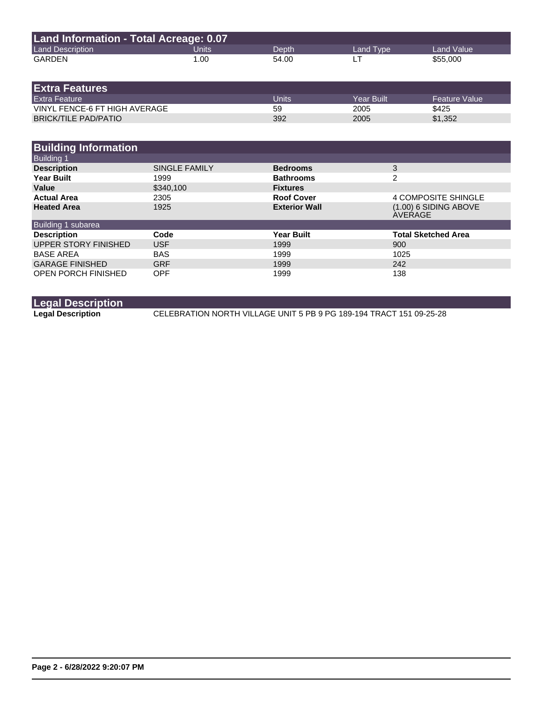| Land Information - Total Acreage: 0.07 |       |       |           |            |
|----------------------------------------|-------|-------|-----------|------------|
| <b>Land Description</b>                | Units | Depth | Land Type | Land Value |
| GARDEN                                 | 1.00  | 54.00 |           | \$55,000   |

| <b>Extra Features</b>         |       |             |                      |
|-------------------------------|-------|-------------|----------------------|
| <b>Extra Feature</b>          | Units | Year Built. | <b>Feature Value</b> |
| VINYL FENCE-6 FT HIGH AVERAGE | 59    | 2005        | \$425                |
| <b>BRICK/TILE PAD/PATIO</b>   | 392   | 2005        | \$1,352              |

| <b>Building Information</b> |                      |                      |                                    |
|-----------------------------|----------------------|----------------------|------------------------------------|
| <b>Building 1</b>           |                      |                      |                                    |
| <b>Description</b>          | <b>SINGLE FAMILY</b> | <b>Bedrooms</b>      | 3                                  |
| <b>Year Built</b>           | 1999                 | <b>Bathrooms</b>     | 2                                  |
| Value                       | \$340.100            | <b>Fixtures</b>      |                                    |
| <b>Actual Area</b>          | 2305                 | <b>Roof Cover</b>    | 4 COMPOSITE SHINGLE                |
| <b>Heated Area</b>          | 1925                 | <b>Exterior Wall</b> | $(1.00)$ 6 SIDING ABOVE<br>AVERAGE |
| Building 1 subarea          |                      |                      |                                    |
| <b>Description</b>          | Code                 | <b>Year Built</b>    | <b>Total Sketched Area</b>         |
| UPPER STORY FINISHED        | <b>USF</b>           | 1999                 | 900                                |
| <b>BASE AREA</b>            | <b>BAS</b>           | 1999                 | 1025                               |
| <b>GARAGE FINISHED</b>      | <b>GRF</b>           | 1999                 | 242                                |
| <b>OPEN PORCH FINISHED</b>  | <b>OPF</b>           | 1999                 | 138                                |

## **Legal Description**

**Legal Description** CELEBRATION NORTH VILLAGE UNIT 5 PB 9 PG 189-194 TRACT 151 09-25-28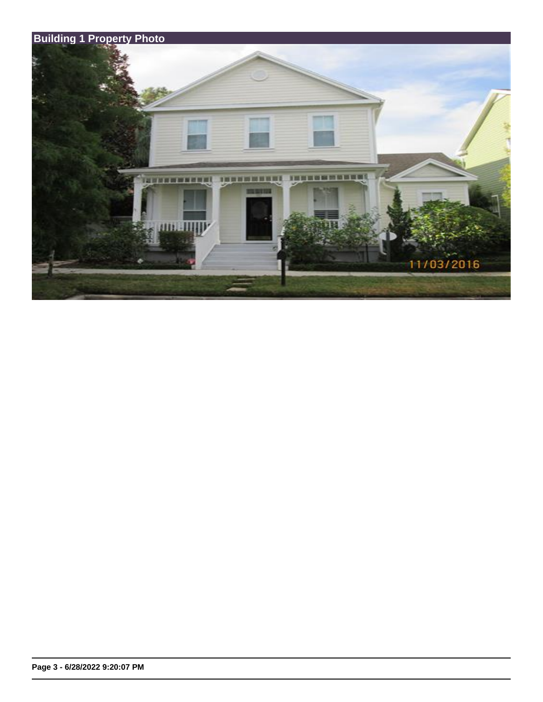